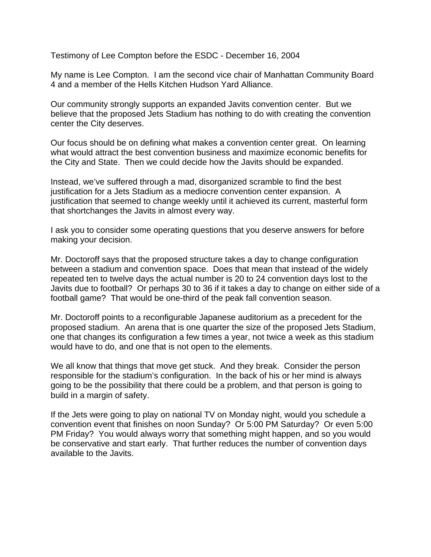Testimony of Lee Compton before the ESDC - December 16, 2004

My name is Lee Compton. I am the second vice chair of Manhattan Community Board 4 and a member of the Hells Kitchen Hudson Yard Alliance.

Our community strongly supports an expanded Javits convention center. But we believe that the proposed Jets Stadium has nothing to do with creating the convention center the City deserves.

Our focus should be on defining what makes a convention center great. On learning what would attract the best convention business and maximize economic benefits for the City and State. Then we could decide how the Javits should be expanded.

Instead, we've suffered through a mad, disorganized scramble to find the best justification for a Jets Stadium as a mediocre convention center expansion. A justification that seemed to change weekly until it achieved its current, masterful form that shortchanges the Javits in almost every way.

I ask you to consider some operating questions that you deserve answers for before making your decision.

Mr. Doctoroff says that the proposed structure takes a day to change configuration between a stadium and convention space. Does that mean that instead of the widely repeated ten to twelve days the actual number is 20 to 24 convention days lost to the Javits due to football? Or perhaps 30 to 36 if it takes a day to change on either side of a football game? That would be one-third of the peak fall convention season.

Mr. Doctoroff points to a reconfigurable Japanese auditorium as a precedent for the proposed stadium. An arena that is one quarter the size of the proposed Jets Stadium, one that changes its configuration a few times a year, not twice a week as this stadium would have to do, and one that is not open to the elements.

We all know that things that move get stuck. And they break. Consider the person responsible for the stadium's configuration. In the back of his or her mind is always going to be the possibility that there could be a problem, and that person is going to build in a margin of safety.

If the Jets were going to play on national TV on Monday night, would you schedule a convention event that finishes on noon Sunday? Or 5:00 PM Saturday? Or even 5:00 PM Friday? You would always worry that something might happen, and so you would be conservative and start early. That further reduces the number of convention days available to the Javits.